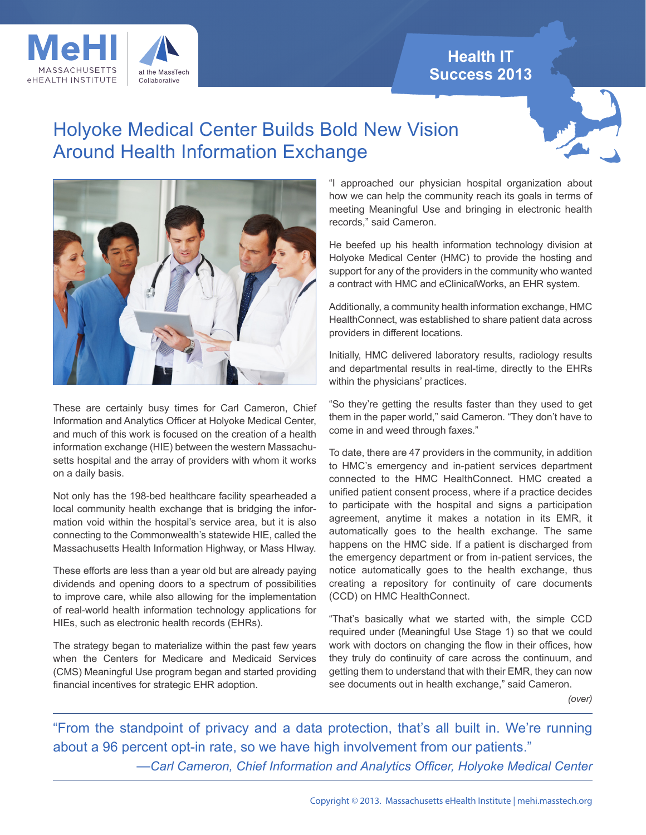# **Health IT Success 2013**



# Holyoke Medical Center Builds Bold New Vision Around Health Information Exchange





These are certainly busy times for Carl Cameron, Chief Information and Analytics Officer at Holyoke Medical Center, and much of this work is focused on the creation of a health information exchange (HIE) between the western Massachusetts hospital and the array of providers with whom it works on a daily basis.

Not only has the 198-bed healthcare facility spearheaded a local community health exchange that is bridging the information void within the hospital's service area, but it is also connecting to the Commonwealth's statewide HIE, called the Massachusetts Health Information Highway, or Mass HIway.

These efforts are less than a year old but are already paying dividends and opening doors to a spectrum of possibilities to improve care, while also allowing for the implementation of real-world health information technology applications for HIEs, such as electronic health records (EHRs).

The strategy began to materialize within the past few years when the Centers for Medicare and Medicaid Services (CMS) Meaningful Use program began and started providing financial incentives for strategic EHR adoption.

"I approached our physician hospital organization about how we can help the community reach its goals in terms of meeting Meaningful Use and bringing in electronic health records," said Cameron.

He beefed up his health information technology division at Holyoke Medical Center (HMC) to provide the hosting and support for any of the providers in the community who wanted a contract with HMC and eClinicalWorks, an EHR system.

Additionally, a community health information exchange, HMC HealthConnect, was established to share patient data across providers in different locations.

Initially, HMC delivered laboratory results, radiology results and departmental results in real-time, directly to the EHRs within the physicians' practices.

"So they're getting the results faster than they used to get them in the paper world," said Cameron. "They don't have to come in and weed through faxes."

To date, there are 47 providers in the community, in addition to HMC's emergency and in-patient services department connected to the HMC HealthConnect. HMC created a unified patient consent process, where if a practice decides to participate with the hospital and signs a participation agreement, anytime it makes a notation in its EMR, it automatically goes to the health exchange. The same happens on the HMC side. If a patient is discharged from the emergency department or from in-patient services, the notice automatically goes to the health exchange, thus creating a repository for continuity of care documents (CCD) on HMC HealthConnect.

"That's basically what we started with, the simple CCD required under (Meaningful Use Stage 1) so that we could work with doctors on changing the flow in their offices, how they truly do continuity of care across the continuum, and getting them to understand that with their EMR, they can now see documents out in health exchange," said Cameron.

*(over)*

"From the standpoint of privacy and a data protection, that's all built in. We're running about a 96 percent opt-in rate, so we have high involvement from our patients." —*Carl Cameron, Chief Information and Analytics Officer, Holyoke Medical Center*